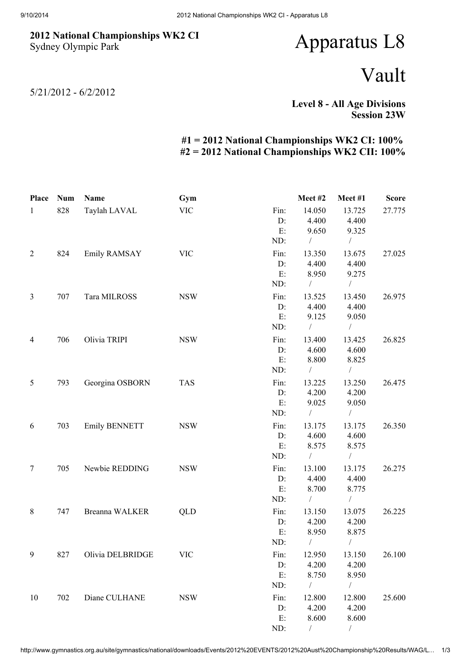## 2012 National Championships WK2 CI Sydney Olympic Park

## Apparatus L8

## Vault

5/21/2012 - 6/2/2012

Level 8 - All Age Divisions Session 23W

## #1 = 2012 National Championships WK2 CI: 100% #2 = 2012 National Championships WK2 CII: 100%

| Place          | <b>Num</b> | Name                 | Gym        |      | Meet#2        | Meet#1         | <b>Score</b> |
|----------------|------------|----------------------|------------|------|---------------|----------------|--------------|
| $\mathbf{1}$   | 828        | Taylah LAVAL         | <b>VIC</b> | Fin: | 14.050        | 13.725         | 27.775       |
|                |            |                      |            | D:   | 4.400         | 4.400          |              |
|                |            |                      |            | E:   | 9.650         | 9.325          |              |
|                |            |                      |            | ND:  | $\frac{1}{2}$ | $\sqrt{2}$     |              |
| $\overline{2}$ | 824        | Emily RAMSAY         | <b>VIC</b> | Fin: | 13.350        | 13.675         | 27.025       |
|                |            |                      |            | D:   | 4.400         | 4.400          |              |
|                |            |                      |            | E:   | 8.950         | 9.275          |              |
|                |            |                      |            | ND:  | $\sqrt{2}$    | $\sqrt{2}$     |              |
| $\mathfrak{Z}$ | 707        | Tara MILROSS         | <b>NSW</b> | Fin: | 13.525        | 13.450         | 26.975       |
|                |            |                      |            | D:   | 4.400         | 4.400          |              |
|                |            |                      |            | E:   | 9.125         | 9.050          |              |
|                |            |                      |            | ND:  | $\sqrt{2}$    | $\sqrt{2}$     |              |
| $\overline{4}$ | 706        | Olivia TRIPI         | <b>NSW</b> | Fin: | 13.400        | 13.425         | 26.825       |
|                |            |                      |            | D:   | 4.600         | 4.600          |              |
|                |            |                      |            | E:   | 8.800         | 8.825          |              |
|                |            |                      |            | ND:  | $\sqrt{2}$    | $\sqrt{2}$     |              |
| $\mathfrak{S}$ | 793        | Georgina OSBORN      | <b>TAS</b> | Fin: | 13.225        | 13.250         | 26.475       |
|                |            |                      |            | D:   | 4.200         | 4.200          |              |
|                |            |                      |            | E:   | 9.025         | 9.050          |              |
|                |            |                      |            | ND:  | $\frac{1}{2}$ | $\frac{1}{2}$  |              |
| 6              | 703        | <b>Emily BENNETT</b> | <b>NSW</b> | Fin: | 13.175        | 13.175         | 26.350       |
|                |            |                      |            | D:   | 4.600         | 4.600          |              |
|                |            |                      |            | E:   | 8.575         | 8.575          |              |
|                |            |                      |            | ND:  | $\sqrt{2}$    | $\frac{1}{2}$  |              |
| 7              | 705        | Newbie REDDING       | <b>NSW</b> | Fin: | 13.100        | 13.175         | 26.275       |
|                |            |                      |            | D:   | 4.400         | 4.400          |              |
|                |            |                      |            | E:   | 8.700         | 8.775          |              |
|                |            |                      |            | ND:  | $\sqrt{2}$    | $\sqrt{2}$     |              |
| $\,8\,$        | 747        | Breanna WALKER       | QLD        | Fin: | 13.150        | 13.075         | 26.225       |
|                |            |                      |            | D:   | 4.200         | 4.200          |              |
|                |            |                      |            | E:   | 8.950         | 8.875          |              |
|                |            |                      |            | ND:  | $\sqrt{2}$    | $\overline{1}$ |              |
| 9              | 827        | Olivia DELBRIDGE     | <b>VIC</b> | Fin: | 12.950        | 13.150         | 26.100       |
|                |            |                      |            | D:   | 4.200         | 4.200          |              |
|                |            |                      |            | E:   | 8.750         | 8.950          |              |
|                |            |                      |            | ND:  | $\sqrt{2}$    | $\sqrt{2}$     |              |
| 10             | 702        | Diane CULHANE        | <b>NSW</b> | Fin: | 12.800        | 12.800         | 25.600       |
|                |            |                      |            | D:   | 4.200         | 4.200          |              |
|                |            |                      |            | E:   | 8.600         | 8.600          |              |
|                |            |                      |            | ND:  | $\sqrt{2}$    | $\sqrt{2}$     |              |

http://www.gymnastics.org.au/site/gymnastics/national/downloads/Events/2012%20EVENTS/2012%20Aust%20Championship%20Results/WAG/L… 1/3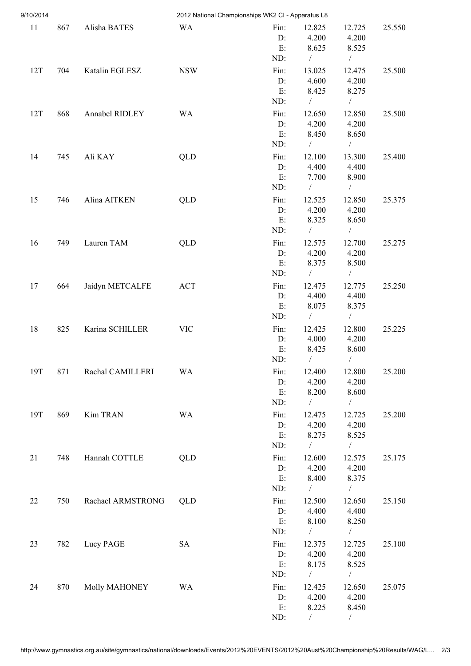| 9/10/2014 |     |                   |            | 2012 National Championships WK2 CI - Apparatus L8 |                        |                         |        |
|-----------|-----|-------------------|------------|---------------------------------------------------|------------------------|-------------------------|--------|
| 11        | 867 | Alisha BATES      | <b>WA</b>  | Fin:<br>D:                                        | 12.825<br>4.200        | 12.725<br>4.200         | 25.550 |
|           |     |                   |            | E:<br>ND:                                         | 8.625<br>$\sqrt{2}$    | 8.525<br>$\sqrt{2}$     |        |
| 12T       | 704 | Katalin EGLESZ    | <b>NSW</b> | Fin:                                              | 13.025                 | 12.475                  | 25.500 |
|           |     |                   |            | D:                                                | 4.600                  | 4.200                   |        |
|           |     |                   |            | E:                                                | 8.425                  | 8.275                   |        |
|           |     |                   |            | ND:                                               | $\frac{1}{2}$          | $\sqrt{2}$              |        |
| 12T       | 868 | Annabel RIDLEY    | <b>WA</b>  | Fin:                                              | 12.650                 | 12.850                  | 25.500 |
|           |     |                   |            | D:                                                | 4.200                  | 4.200                   |        |
|           |     |                   |            | E:<br>ND:                                         | 8.450<br>$\frac{1}{2}$ | 8.650<br>$\overline{ }$ |        |
|           |     |                   |            |                                                   |                        |                         |        |
| 14        | 745 | Ali KAY           | QLD        | Fin:<br>D:                                        | 12.100<br>4.400        | 13.300<br>4.400         | 25.400 |
|           |     |                   |            | E:                                                | 7.700                  | 8.900                   |        |
|           |     |                   |            | ND:                                               | $\sqrt{2}$             | $\frac{1}{2}$           |        |
| 15        | 746 | Alina AITKEN      | <b>QLD</b> | Fin:                                              | 12.525                 | 12.850                  | 25.375 |
|           |     |                   |            | D:                                                | 4.200                  | 4.200                   |        |
|           |     |                   |            | E:                                                | 8.325                  | 8.650                   |        |
|           |     |                   |            | ND:                                               | $\bigg $               | $\frac{1}{2}$           |        |
| 16        | 749 | Lauren TAM        | QLD        | Fin:                                              | 12.575                 | 12.700                  | 25.275 |
|           |     |                   |            | D:                                                | 4.200                  | 4.200                   |        |
|           |     |                   |            | E:                                                | 8.375                  | 8.500                   |        |
|           |     |                   |            | ND:                                               | $\sqrt{2}$             | $\sqrt{2}$              |        |
| 17        | 664 | Jaidyn METCALFE   | <b>ACT</b> | Fin:<br>D:                                        | 12.475<br>4.400        | 12.775<br>4.400         | 25.250 |
|           |     |                   |            | E:                                                | 8.075                  | 8.375                   |        |
|           |     |                   |            | ND:                                               | $\sqrt{2}$             | $\sqrt{2}$              |        |
| 18        | 825 | Karina SCHILLER   | <b>VIC</b> | Fin:                                              | 12.425                 | 12.800                  | 25.225 |
|           |     |                   |            | D:                                                | 4.000                  | 4.200                   |        |
|           |     |                   |            | E:                                                | 8.425                  | 8.600                   |        |
|           |     |                   |            | ND:                                               | $\sqrt{2}$             | $\overline{1}$          |        |
| 19T       | 871 | Rachal CAMILLERI  | <b>WA</b>  | Fin:                                              | 12.400                 | 12.800                  | 25.200 |
|           |     |                   |            | D:                                                | 4.200                  | 4.200                   |        |
|           |     |                   |            | E:                                                | 8.200<br>$\sqrt{2}$    | 8.600<br>$\sqrt{2}$     |        |
|           |     |                   |            | ND:                                               |                        |                         |        |
| 19T       | 869 | Kim TRAN          | <b>WA</b>  | Fin:<br>D:                                        | 12.475<br>4.200        | 12.725<br>4.200         | 25.200 |
|           |     |                   |            | E:                                                | 8.275                  | 8.525                   |        |
|           |     |                   |            | ND:                                               | $\sqrt{2}$             | $\sqrt{2}$              |        |
| 21        | 748 | Hannah COTTLE     | QLD        | Fin:                                              | 12.600                 | 12.575                  | 25.175 |
|           |     |                   |            | D:                                                | 4.200                  | 4.200                   |        |
|           |     |                   |            | E:                                                | 8.400                  | 8.375                   |        |
|           |     |                   |            | ND:                                               | $\bigg $               | $\sqrt{2}$              |        |
| 22        | 750 | Rachael ARMSTRONG | QLD        | Fin:                                              | 12.500                 | 12.650                  | 25.150 |
|           |     |                   |            | D:                                                | 4.400                  | 4.400                   |        |
|           |     |                   |            | E:                                                | 8.100                  | 8.250                   |        |
|           |     |                   |            | ND:                                               | $\frac{1}{2}$          | $\overline{ }$          |        |
| 23        | 782 | Lucy PAGE         | <b>SA</b>  | Fin:<br>D:                                        | 12.375<br>4.200        | 12.725<br>4.200         | 25.100 |
|           |     |                   |            | E:                                                | 8.175                  | 8.525                   |        |
|           |     |                   |            | ND:                                               | $\sqrt{2}$             | $\sqrt{2}$              |        |
| 24        | 870 | Molly MAHONEY     | <b>WA</b>  | Fin:                                              | 12.425                 | 12.650                  | 25.075 |
|           |     |                   |            | D:                                                | 4.200                  | 4.200                   |        |
|           |     |                   |            | E:                                                | 8.225                  | 8.450                   |        |
|           |     |                   |            | ND:                                               |                        | $\sqrt{2}$              |        |